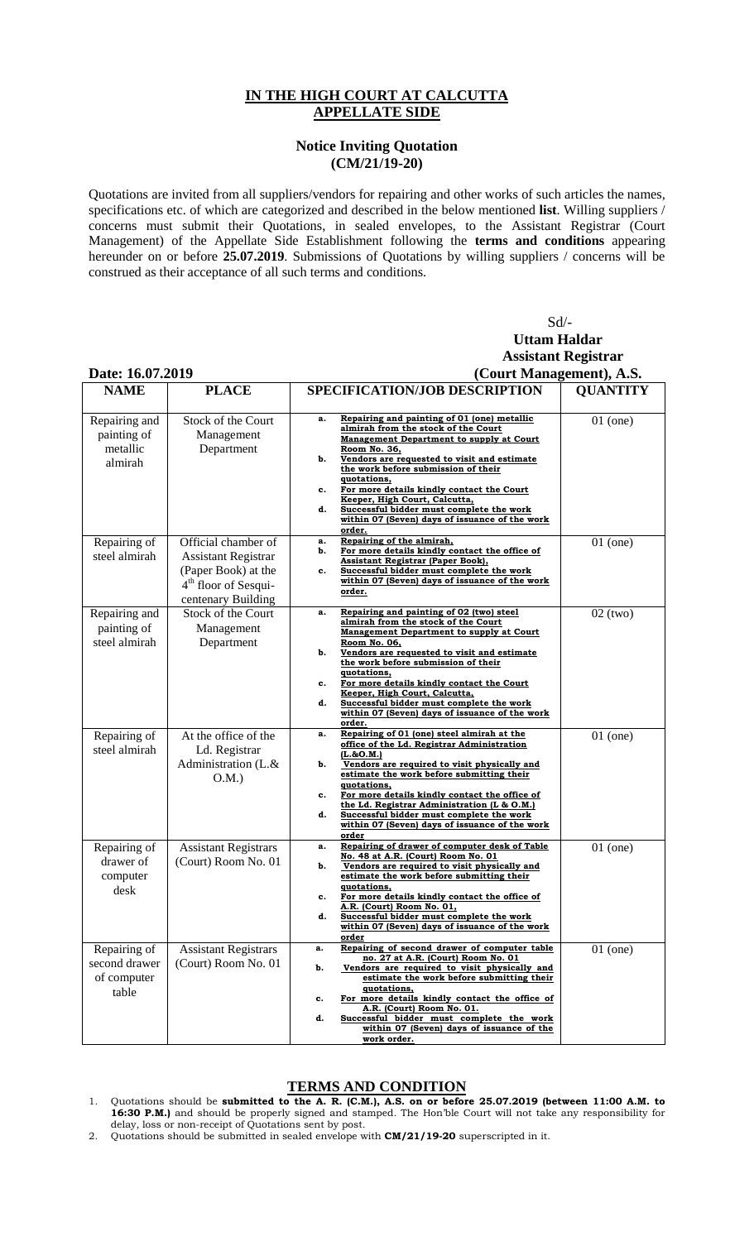## **IN THE HIGH COURT AT CALCUTTA APPELLATE SIDE**

## **Notice Inviting Quotation (CM/21/19-20)**

Quotations are invited from all suppliers/vendors for repairing and other works of such articles the names, specifications etc. of which are categorized and described in the below mentioned **list**. Willing suppliers / concerns must submit their Quotations, in sealed envelopes, to the Assistant Registrar (Court Management) of the Appellate Side Establishment following the **terms and conditions** appearing hereunder on or before **25.07.2019**. Submissions of Quotations by willing suppliers / concerns will be construed as their acceptance of all such terms and conditions.

|                                                       |                                                                                                                                    | $Sd$ /-<br><b>Uttam Haldar</b>                                                                                                                                                                                                                                                                                                                                                                                                                                           |                            |  |
|-------------------------------------------------------|------------------------------------------------------------------------------------------------------------------------------------|--------------------------------------------------------------------------------------------------------------------------------------------------------------------------------------------------------------------------------------------------------------------------------------------------------------------------------------------------------------------------------------------------------------------------------------------------------------------------|----------------------------|--|
|                                                       |                                                                                                                                    |                                                                                                                                                                                                                                                                                                                                                                                                                                                                          | <b>Assistant Registrar</b> |  |
| Date: 16.07.2019                                      |                                                                                                                                    | (Court Management), A.S.                                                                                                                                                                                                                                                                                                                                                                                                                                                 |                            |  |
| <b>NAME</b>                                           | <b>PLACE</b>                                                                                                                       | <b>SPECIFICATION/JOB DESCRIPTION</b>                                                                                                                                                                                                                                                                                                                                                                                                                                     | <b>QUANTITY</b>            |  |
| Repairing and<br>painting of<br>metallic<br>almirah   | Stock of the Court<br>Management<br>Department                                                                                     | Repairing and painting of 01 (one) metallic<br>a.<br>almirah from the stock of the Court<br><b>Management Department to supply at Court</b><br>Room No. 36,<br>Vendors are requested to visit and estimate<br>b.<br>the work before submission of their<br>quotations,<br>For more details kindly contact the Court<br>c.<br>Keeper, High Court, Calcutta,<br>Successful bidder must complete the work<br>d.<br>within 07 (Seven) days of issuance of the work<br>order. | $01$ (one)                 |  |
| Repairing of<br>steel almirah                         | Official chamber of<br><b>Assistant Registrar</b><br>(Paper Book) at the<br>4 <sup>th</sup> floor of Sesqui-<br>centenary Building | Repairing of the almirah,<br>a.<br>For more details kindly contact the office of<br>b.<br><b>Assistant Registrar (Paper Book),</b><br>Successful bidder must complete the work<br>c.<br>within 07 (Seven) days of issuance of the work<br>order.                                                                                                                                                                                                                         | $01$ (one)                 |  |
| Repairing and<br>painting of<br>steel almirah         | Stock of the Court<br>Management<br>Department                                                                                     | Repairing and painting of 02 (two) steel<br>a.<br>almirah from the stock of the Court<br><b>Management Department to supply at Court</b><br>Room No. 06,<br>Vendors are requested to visit and estimate<br>b.<br>the work before submission of their<br>quotations,<br>For more details kindly contact the Court<br>c.<br>Keeper, High Court, Calcutta,<br>Successful bidder must complete the work<br>d.<br>within 07 (Seven) days of issuance of the work<br>order.    | $02$ (two)                 |  |
| Repairing of<br>steel almirah                         | At the office of the<br>Ld. Registrar<br>Administration (L.&<br>O.M.                                                               | Repairing of 01 (one) steel almirah at the<br>a.<br>office of the Ld. Registrar Administration<br>$(L.\&O.M.)$<br>Vendors are required to visit physically and<br>b.<br>estimate the work before submitting their<br>quotations,<br>For more details kindly contact the office of<br>c.<br>the Ld. Registrar Administration (L & O.M.)<br>Successful bidder must complete the work<br>d.<br>within 07 (Seven) days of issuance of the work<br>order                      | $01$ (one)                 |  |
| Repairing of<br>drawer of<br>computer<br>desk         | <b>Assistant Registrars</b><br>(Court) Room No. 01                                                                                 | Repairing of drawer of computer desk of Table<br>a.<br>No. 48 at A.R. (Court) Room No. 01<br>Vendors are required to visit physically and<br>estimate the work before submitting their<br>quotations,<br>For more details kindly contact the office of<br>c.<br>A.R. (Court) Room No. 01,<br>Successful bidder must complete the work<br>d.<br>within 07 (Seven) days of issuance of the work<br>order                                                                   | $01$ (one)                 |  |
| Repairing of<br>second drawer<br>of computer<br>table | <b>Assistant Registrars</b><br>(Court) Room No. 01                                                                                 | Repairing of second drawer of computer table<br>a.<br>no. 27 at A.R. (Court) Room No. 01<br>Vendors are required to visit physically and<br>b.<br>estimate the work before submitting their<br>quotations,<br>For more details kindly contact the office of<br>c.<br>A.R. (Court) Room No. 01.<br>d.<br>Successful bidder must complete the work<br>within 07 (Seven) days of issuance of the<br>work order.                                                             | $01$ (one)                 |  |

## **TERMS AND CONDITION**

- 1. Quotations should be **submitted to the A. R. (C.M.), A.S. on or before 25.07.2019 (between 11:00 A.M. to 16:30 P.M.)** and should be properly signed and stamped. The Hon'ble Court will not take any responsibility for delay, loss or non-receipt of Quotations sent by post.
- 2. Quotations should be submitted in sealed envelope with **CM/21/19-20** superscripted in it.